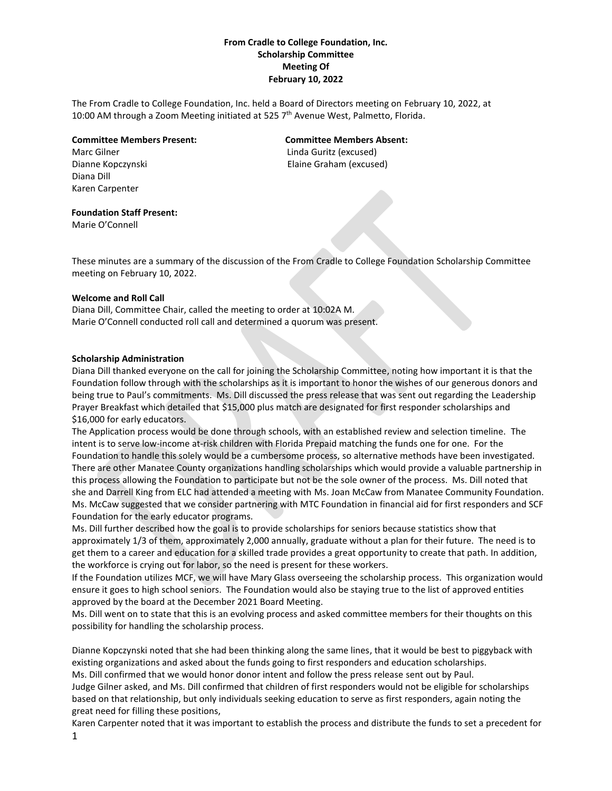# **From Cradle to College Foundation, Inc. Scholarship Committee Meeting Of February 10, 2022**

The From Cradle to College Foundation, Inc. held a Board of Directors meeting on February 10, 2022, at 10:00 AM through a Zoom Meeting initiated at 525 7<sup>th</sup> Avenue West, Palmetto, Florida.

#### **Committee Members Present: Committee Members Absent:**

Diana Dill Karen Carpenter

Marc Gilner Linda Guritz (excused) Dianne Kopczynski Elaine Graham (excused)

# **Foundation Staff Present:**

Marie O'Connell

These minutes are a summary of the discussion of the From Cradle to College Foundation Scholarship Committee meeting on February 10, 2022.

## **Welcome and Roll Call**

Diana Dill, Committee Chair, called the meeting to order at 10:02A M. Marie O'Connell conducted roll call and determined a quorum was present.

## **Scholarship Administration**

Diana Dill thanked everyone on the call for joining the Scholarship Committee, noting how important it is that the Foundation follow through with the scholarships as it is important to honor the wishes of our generous donors and being true to Paul's commitments. Ms. Dill discussed the press release that was sent out regarding the Leadership Prayer Breakfast which detailed that \$15,000 plus match are designated for first responder scholarships and \$16,000 for early educators.

The Application process would be done through schools, with an established review and selection timeline. The intent is to serve low-income at-risk children with Florida Prepaid matching the funds one for one. For the Foundation to handle this solely would be a cumbersome process, so alternative methods have been investigated. There are other Manatee County organizations handling scholarships which would provide a valuable partnership in this process allowing the Foundation to participate but not be the sole owner of the process. Ms. Dill noted that she and Darrell King from ELC had attended a meeting with Ms. Joan McCaw from Manatee Community Foundation. Ms. McCaw suggested that we consider partnering with MTC Foundation in financial aid for first responders and SCF Foundation for the early educator programs.

Ms. Dill further described how the goal is to provide scholarships for seniors because statistics show that approximately 1/3 of them, approximately 2,000 annually, graduate without a plan for their future. The need is to get them to a career and education for a skilled trade provides a great opportunity to create that path. In addition, the workforce is crying out for labor, so the need is present for these workers.

If the Foundation utilizes MCF, we will have Mary Glass overseeing the scholarship process. This organization would ensure it goes to high school seniors. The Foundation would also be staying true to the list of approved entities approved by the board at the December 2021 Board Meeting.

Ms. Dill went on to state that this is an evolving process and asked committee members for their thoughts on this possibility for handling the scholarship process.

Dianne Kopczynski noted that she had been thinking along the same lines, that it would be best to piggyback with existing organizations and asked about the funds going to first responders and education scholarships. Ms. Dill confirmed that we would honor donor intent and follow the press release sent out by Paul. Judge Gilner asked, and Ms. Dill confirmed that children of first responders would not be eligible for scholarships

based on that relationship, but only individuals seeking education to serve as first responders, again noting the great need for filling these positions,

1 Karen Carpenter noted that it was important to establish the process and distribute the funds to set a precedent for